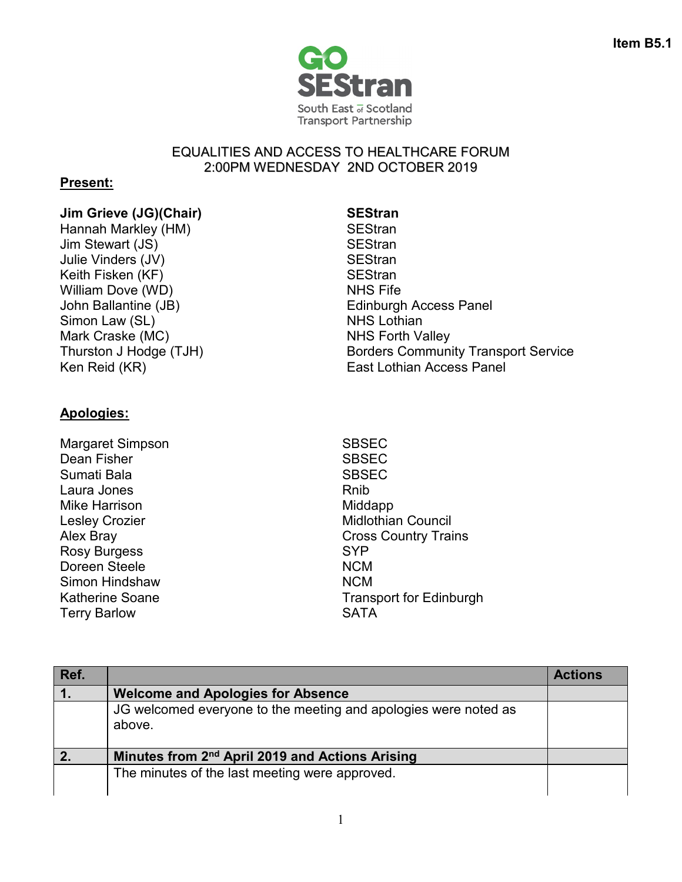

### EQUALITIES AND ACCESS TO HEALTHCARE FORUM 2:00PM WEDNESDAY 2ND OCTOBER 2019

## **Present:**

# **Jim Grieve (JG)(Chair) SEStran**<br>
Hannah Marklev (HM) **SEStran**

Hannah Markley (HM) Jim Stewart (JS) SEStran Julie Vinders (JV) SEStran Keith Fisken (KF) SEStran William Dove (WD) NHS Fife Simon Law (SL) NHS Lothian Mark Craske (MC) NHS Forth Valley

John Ballantine (JB) The Common School Edinburgh Access Panel Thurston J Hodge (TJH) Borders Community Transport Service Ken Reid (KR) **East Lothian Access Panel** 

## **Apologies:**

Margaret Simpson SBSEC Dean Fisher SBSEC Sumati Bala Sumati Bala Laura Jones **Rnib** Mike Harrison **Middapp** Rosy Burgess SYP Doreen Steele NCM Simon Hindshaw NCM Katherine Soane Terry Barlow

Lesley Crozier **Midlothian Council** Alex Bray **Cross Country Trains** Transport for Edinburgh **SATA** 

| Ref. |                                                                           | <b>Actions</b> |
|------|---------------------------------------------------------------------------|----------------|
|      | <b>Welcome and Apologies for Absence</b>                                  |                |
|      | JG welcomed everyone to the meeting and apologies were noted as<br>above. |                |
|      | Minutes from 2 <sup>nd</sup> April 2019 and Actions Arising               |                |
|      | The minutes of the last meeting were approved.                            |                |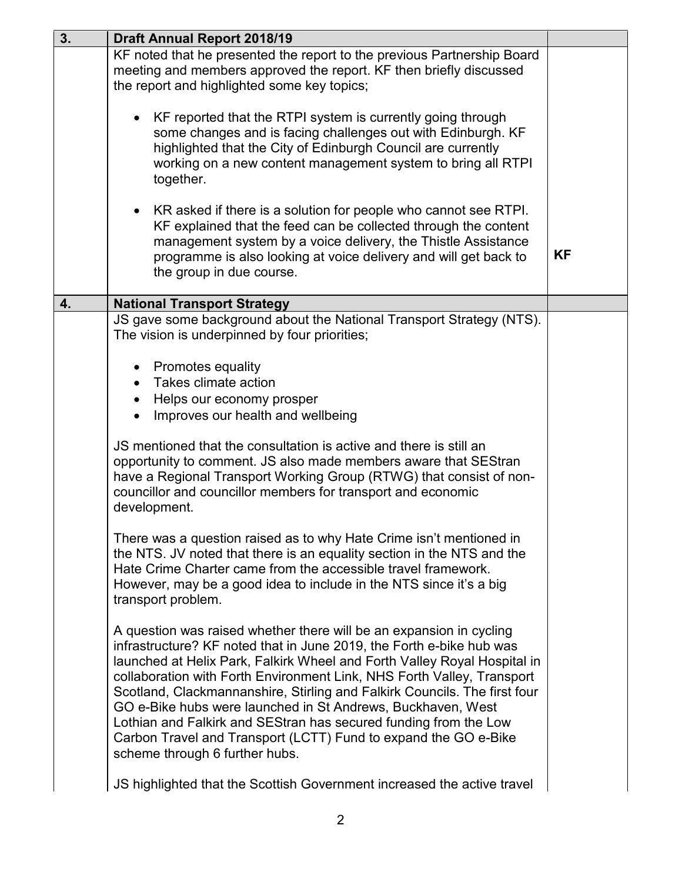| 3. | <b>Draft Annual Report 2018/19</b>                                                                                                                                                                                                                                                                                                                                                                                                                                                                                                                                                                                     |           |
|----|------------------------------------------------------------------------------------------------------------------------------------------------------------------------------------------------------------------------------------------------------------------------------------------------------------------------------------------------------------------------------------------------------------------------------------------------------------------------------------------------------------------------------------------------------------------------------------------------------------------------|-----------|
|    | KF noted that he presented the report to the previous Partnership Board<br>meeting and members approved the report. KF then briefly discussed<br>the report and highlighted some key topics;                                                                                                                                                                                                                                                                                                                                                                                                                           |           |
|    | KF reported that the RTPI system is currently going through<br>some changes and is facing challenges out with Edinburgh. KF<br>highlighted that the City of Edinburgh Council are currently<br>working on a new content management system to bring all RTPI<br>together.                                                                                                                                                                                                                                                                                                                                               |           |
|    | KR asked if there is a solution for people who cannot see RTPI.<br>KF explained that the feed can be collected through the content<br>management system by a voice delivery, the Thistle Assistance<br>programme is also looking at voice delivery and will get back to<br>the group in due course.                                                                                                                                                                                                                                                                                                                    | <b>KF</b> |
| 4. | <b>National Transport Strategy</b>                                                                                                                                                                                                                                                                                                                                                                                                                                                                                                                                                                                     |           |
|    | JS gave some background about the National Transport Strategy (NTS).<br>The vision is underpinned by four priorities;                                                                                                                                                                                                                                                                                                                                                                                                                                                                                                  |           |
|    | • Promotes equality<br>Takes climate action<br>• Helps our economy prosper<br>Improves our health and wellbeing                                                                                                                                                                                                                                                                                                                                                                                                                                                                                                        |           |
|    | JS mentioned that the consultation is active and there is still an<br>opportunity to comment. JS also made members aware that SEStran<br>have a Regional Transport Working Group (RTWG) that consist of non-<br>councillor and councillor members for transport and economic<br>development.                                                                                                                                                                                                                                                                                                                           |           |
|    | There was a question raised as to why Hate Crime isn't mentioned in<br>the NTS. JV noted that there is an equality section in the NTS and the<br>Hate Crime Charter came from the accessible travel framework.<br>However, may be a good idea to include in the NTS since it's a big<br>transport problem.                                                                                                                                                                                                                                                                                                             |           |
|    | A question was raised whether there will be an expansion in cycling<br>infrastructure? KF noted that in June 2019, the Forth e-bike hub was<br>launched at Helix Park, Falkirk Wheel and Forth Valley Royal Hospital in<br>collaboration with Forth Environment Link, NHS Forth Valley, Transport<br>Scotland, Clackmannanshire, Stirling and Falkirk Councils. The first four<br>GO e-Bike hubs were launched in St Andrews, Buckhaven, West<br>Lothian and Falkirk and SEStran has secured funding from the Low<br>Carbon Travel and Transport (LCTT) Fund to expand the GO e-Bike<br>scheme through 6 further hubs. |           |
|    | JS highlighted that the Scottish Government increased the active travel                                                                                                                                                                                                                                                                                                                                                                                                                                                                                                                                                |           |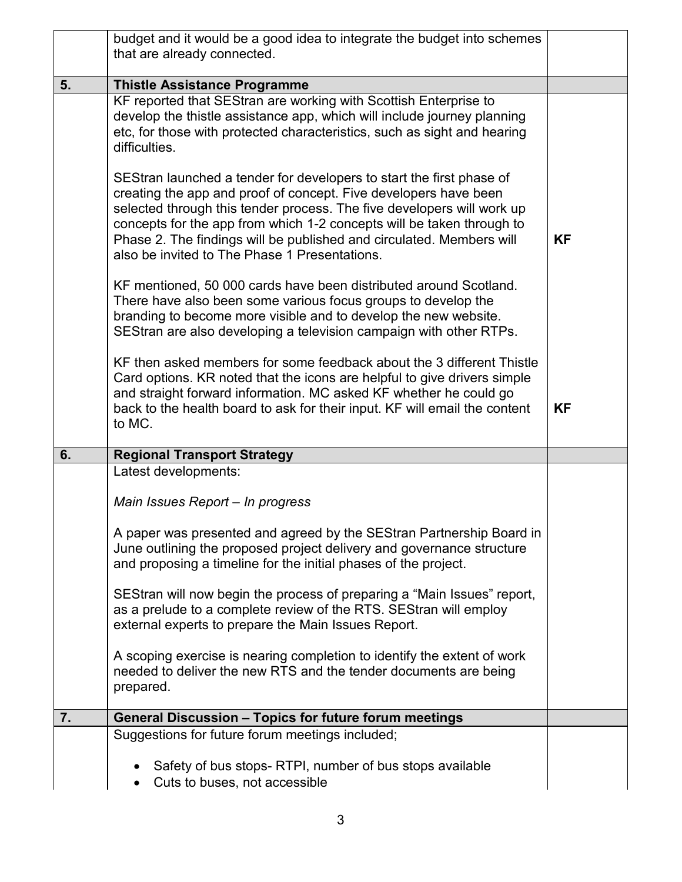|    | budget and it would be a good idea to integrate the budget into schemes                                                                                                                                                                                                                                                                                                                                              |           |
|----|----------------------------------------------------------------------------------------------------------------------------------------------------------------------------------------------------------------------------------------------------------------------------------------------------------------------------------------------------------------------------------------------------------------------|-----------|
|    | that are already connected.                                                                                                                                                                                                                                                                                                                                                                                          |           |
| 5. | <b>Thistle Assistance Programme</b>                                                                                                                                                                                                                                                                                                                                                                                  |           |
|    | KF reported that SEStran are working with Scottish Enterprise to<br>develop the thistle assistance app, which will include journey planning<br>etc, for those with protected characteristics, such as sight and hearing<br>difficulties.                                                                                                                                                                             |           |
|    | SEStran launched a tender for developers to start the first phase of<br>creating the app and proof of concept. Five developers have been<br>selected through this tender process. The five developers will work up<br>concepts for the app from which 1-2 concepts will be taken through to<br>Phase 2. The findings will be published and circulated. Members will<br>also be invited to The Phase 1 Presentations. | <b>KF</b> |
|    | KF mentioned, 50 000 cards have been distributed around Scotland.<br>There have also been some various focus groups to develop the<br>branding to become more visible and to develop the new website.<br>SEStran are also developing a television campaign with other RTPs.                                                                                                                                          |           |
|    | KF then asked members for some feedback about the 3 different Thistle<br>Card options. KR noted that the icons are helpful to give drivers simple<br>and straight forward information. MC asked KF whether he could go<br>back to the health board to ask for their input. KF will email the content<br>to MC.                                                                                                       | ΚF        |
| 6. | <b>Regional Transport Strategy</b>                                                                                                                                                                                                                                                                                                                                                                                   |           |
|    | Latest developments:                                                                                                                                                                                                                                                                                                                                                                                                 |           |
|    | Main Issues Report - In progress                                                                                                                                                                                                                                                                                                                                                                                     |           |
|    | A paper was presented and agreed by the SEStran Partnership Board in                                                                                                                                                                                                                                                                                                                                                 |           |
|    | June outlining the proposed project delivery and governance structure<br>and proposing a timeline for the initial phases of the project.                                                                                                                                                                                                                                                                             |           |
|    | SEStran will now begin the process of preparing a "Main Issues" report,<br>as a prelude to a complete review of the RTS. SEStran will employ<br>external experts to prepare the Main Issues Report.                                                                                                                                                                                                                  |           |
|    | A scoping exercise is nearing completion to identify the extent of work<br>needed to deliver the new RTS and the tender documents are being<br>prepared.                                                                                                                                                                                                                                                             |           |
| 7. | <b>General Discussion - Topics for future forum meetings</b>                                                                                                                                                                                                                                                                                                                                                         |           |
|    | Suggestions for future forum meetings included;                                                                                                                                                                                                                                                                                                                                                                      |           |